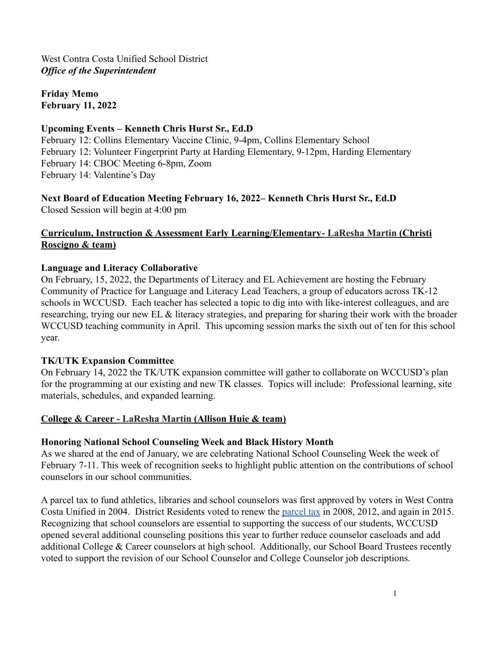**Friday Memo February 11, 2022**

#### **Upcoming Events – Kenneth Chris Hurst Sr., Ed.D**

February 12: Collins Elementary Vaccine Clinic, 9-4pm, Collins Elementary School February 12: Volunteer Fingerprint Party at Harding Elementary, 9-12pm, Harding Elementary February 14: CBOC Meeting 6-8pm, Zoom February 14: Valentine's Day

#### **Next Board of Education Meeting February 16, 2022– Kenneth Chris Hurst Sr., Ed.D** Closed Session will begin at 4:00 pm

## **Curriculum, Instruction & Assessment Early Learning/Elementary- LaResha Martin (Christi Roscigno & team)**

## **Language and Literacy Collaborative**

On February, 15, 2022, the Departments of Literacy and EL Achievement are hosting the February Community of Practice for Language and Literacy Lead Teachers, a group of educators across TK-12 schools in WCCUSD. Each teacher has selected a topic to dig into with like-interest colleagues, and are researching, trying our new EL & literacy strategies, and preparing for sharing their work with the broader WCCUSD teaching community in April. This upcoming session marks the sixth out of ten for this school year.

#### **TK/UTK Expansion Committee**

On February 14, 2022 the TK/UTK expansion committee will gather to collaborate on WCCUSD's plan for the programming at our existing and new TK classes. Topics will include: Professional learning, site materials, schedules, and expanded learning.

#### **College & Career - LaResha Martin (Allison Huie & team)**

#### **Honoring National School Counseling Week and Black History Month**

As we shared at the end of January, we are celebrating National School Counseling Week the week of February 7-11. This week of recognition seeks to highlight public attention on the contributions of school counselors in our school communities.

A parcel tax to fund athletics, libraries and school counselors was first approved by voters in West Contra Costa Unified in 2004. District Residents voted to renew the [parcel tax](https://www.wccusd.net/Page/7259) in 2008, 2012, and again in 2015. Recognizing that school counselors are essential to supporting the success of our students, WCCUSD opened several additional counseling positions this year to further reduce counselor caseloads and add additional College & Career counselors at high school. Additionally, our School Board Trustees recently voted to support the revision of our School Counselor and College Counselor job descriptions.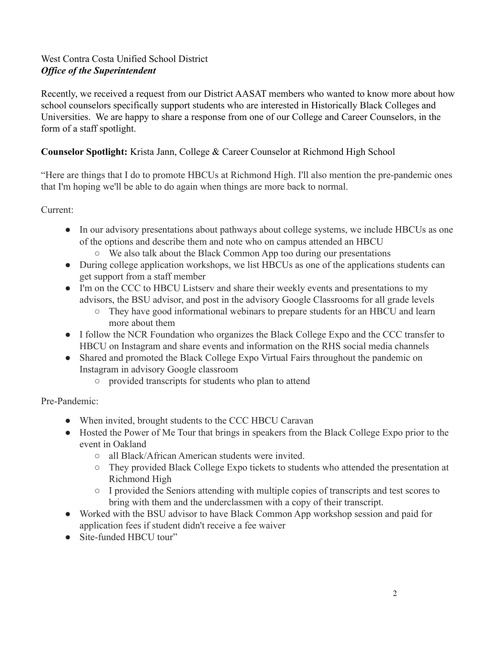Recently, we received a request from our District AASAT members who wanted to know more about how school counselors specifically support students who are interested in Historically Black Colleges and Universities. We are happy to share a response from one of our College and Career Counselors, in the form of a staff spotlight.

# **Counselor Spotlight:** Krista Jann, College & Career Counselor at Richmond High School

"Here are things that I do to promote HBCUs at Richmond High. I'll also mention the pre-pandemic ones that I'm hoping we'll be able to do again when things are more back to normal.

Current:

- In our advisory presentations about pathways about college systems, we include HBCUs as one of the options and describe them and note who on campus attended an HBCU
	- We also talk about the Black Common App too during our presentations
- During college application workshops, we list HBCUs as one of the applications students can get support from a staff member
- I'm on the CCC to HBCU Listserv and share their weekly events and presentations to my advisors, the BSU advisor, and post in the advisory Google Classrooms for all grade levels
	- They have good informational webinars to prepare students for an HBCU and learn more about them
- I follow the NCR Foundation who organizes the Black College Expo and the CCC transfer to HBCU on Instagram and share events and information on the RHS social media channels
- Shared and promoted the Black College Expo Virtual Fairs throughout the pandemic on Instagram in advisory Google classroom
	- provided transcripts for students who plan to attend

Pre-Pandemic:

- When invited, brought students to the CCC HBCU Caravan
- Hosted the Power of Me Tour that brings in speakers from the Black College Expo prior to the event in Oakland
	- all Black/African American students were invited.
	- They provided Black College Expo tickets to students who attended the presentation at Richmond High
	- I provided the Seniors attending with multiple copies of transcripts and test scores to bring with them and the underclassmen with a copy of their transcript.
- Worked with the BSU advisor to have Black Common App workshop session and paid for application fees if student didn't receive a fee waiver
- Site-funded HBCU tour"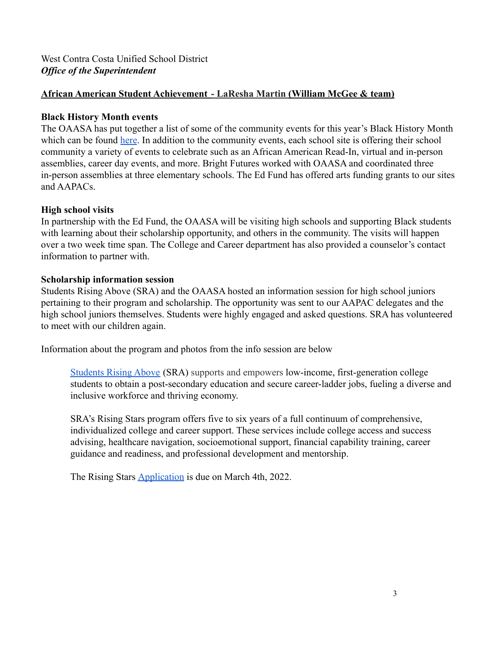## **African American Student Achievement - LaResha Martin (William McGee & team)**

#### **Black History Month events**

The OAASA has put together a list of some of the community events for this year's Black History Month which can be found [here](https://docs.google.com/document/d/17cFEqoQp3P9I0rfu6gISIpfWfWzDlwq0x4GG4tptz8o/edit#heading=h.aovz593wqn1v). In addition to the community events, each school site is offering their school community a variety of events to celebrate such as an African American Read-In, virtual and in-person assemblies, career day events, and more. Bright Futures worked with OAASA and coordinated three in-person assemblies at three elementary schools. The Ed Fund has offered arts funding grants to our sites and AAPACs.

## **High school visits**

In partnership with the Ed Fund, the OAASA will be visiting high schools and supporting Black students with learning about their scholarship opportunity, and others in the community. The visits will happen over a two week time span. The College and Career department has also provided a counselor's contact information to partner with.

## **Scholarship information session**

Students Rising Above (SRA) and the OAASA hosted an information session for high school juniors pertaining to their program and scholarship. The opportunity was sent to our AAPAC delegates and the high school juniors themselves. Students were highly engaged and asked questions. SRA has volunteered to meet with our children again.

Information about the program and photos from the info session are below

[Students Rising Above](https://studentsrisingabove.org/) (SRA) supports and empowers low-income, first-generation college students to obtain a post-secondary education and secure career-ladder jobs, fueling a diverse and inclusive workforce and thriving economy.

SRA's Rising Stars program offers five to six years of a full continuum of comprehensive, individualized college and career support. These services include college access and success advising, healthcare navigation, socioemotional support, financial capability training, career guidance and readiness, and professional development and mentorship.

The Rising Stars [Application](https://bit.ly/RisingStarsApp2023) is due on March 4th, 2022.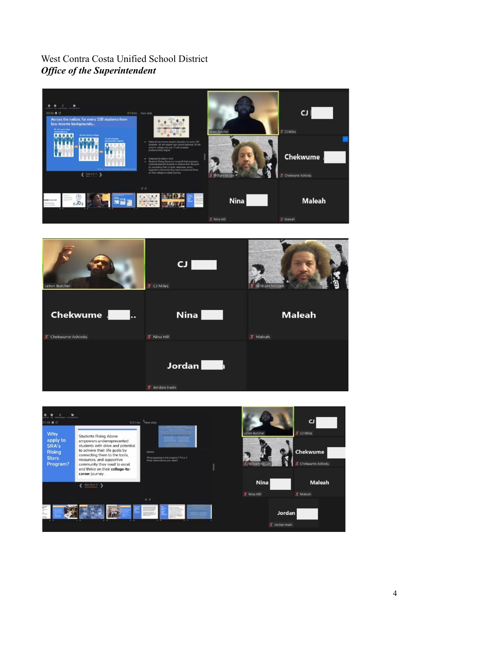



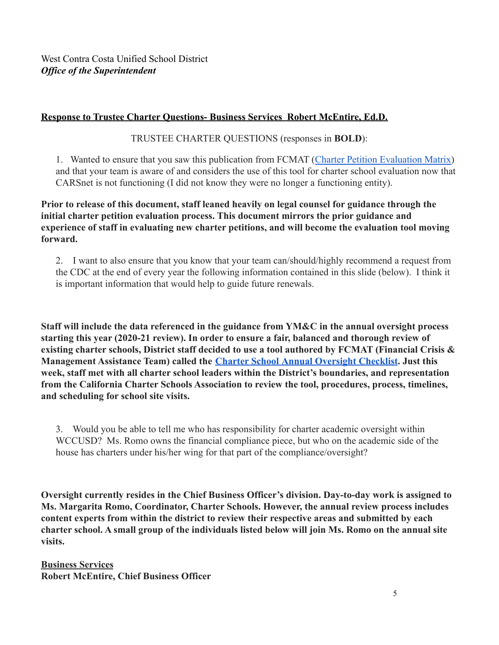# **Response to Trustee Charter Questions- Business Services Robert McEntire, Ed.D.**

TRUSTEE CHARTER QUESTIONS (responses in **BOLD**):

1. Wanted to ensure that you saw this publication from FCMAT ([Charter Petition Evaluation Matrix\)](https://www.fcmat.org/publicationsreports/charter-petition-eval.pdf) and that your team is aware of and considers the use of this tool for charter school evaluation now that CARSnet is not functioning (I did not know they were no longer a functioning entity).

### **Prior to release of this document, staff leaned heavily on legal counsel for guidance through the initial charter petition evaluation process. This document mirrors the prior guidance and experience of staff in evaluating new charter petitions, and will become the evaluation tool moving forward.**

2. I want to also ensure that you know that your team can/should/highly recommend a request from the CDC at the end of every year the following information contained in this slide (below). I think it is important information that would help to guide future renewals.

**Staff will include the data referenced in the guidance from YM&C in the annual oversight process starting this year (2020-21 review). In order to ensure a fair, balanced and thorough review of existing charter schools, District staff decided to use a tool authored by FCMAT (Financial Crisis & Management Assistance Team) called the Charter School [Annual Oversight Checklist](https://www.fcmat.org/PublicationsReports/charter-school-oversight-checklist.pdf). Just this week, staff met with all charter school leaders within the District's boundaries, and representation from the California Charter Schools Association to review the tool, procedures, process, timelines, and scheduling for school site visits.**

3. Would you be able to tell me who has responsibility for charter academic oversight within WCCUSD? Ms. Romo owns the financial compliance piece, but who on the academic side of the house has charters under his/her wing for that part of the compliance/oversight?

**Oversight currently resides in the Chief Business Officer's division. Day-to-day work is assigned to Ms. Margarita Romo, Coordinator, Charter Schools. However, the annual review process includes content experts from within the district to review their respective areas and submitted by each charter school. A small group of the individuals listed below will join Ms. Romo on the annual site visits.**

**Business Services Robert McEntire, Chief Business Officer**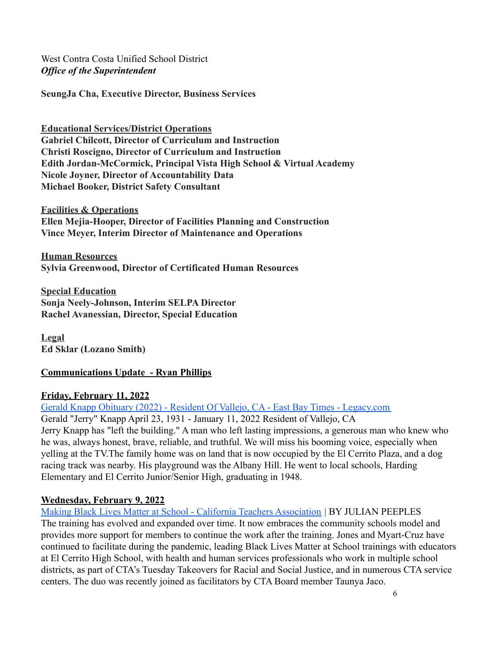**SeungJa Cha, Executive Director, Business Services**

**Educational Services/District Operations Gabriel Chilcott, Director of Curriculum and Instruction Christi Roscigno, Director of Curriculum and Instruction Edith Jordan-McCormick, Principal Vista High School & Virtual Academy Nicole Joyner, Director of Accountability Data Michael Booker, District Safety Consultant**

**Facilities & Operations Ellen Mejia-Hooper, Director of Facilities Planning and Construction Vince Meyer, Interim Director of Maintenance and Operations**

**Human Resources Sylvia Greenwood, Director of Certificated Human Resources**

**Special Education Sonja Neely-Johnson, Interim SELPA Director Rachel Avanessian, Director, Special Education**

**Legal Ed Sklar (Lozano Smith)**

# **Communications Update - Ryan Phillips**

#### **Friday, February 11, 2022**

[Gerald Knapp Obituary \(2022\) - Resident Of Vallejo, CA - East Bay Times - Legacy.com](https://www.legacy.com/us/obituaries/eastbaytimes/name/gerald-knapp-obituary?pid=201355452)

Gerald "Jerry" Knapp April 23, 1931 - January 11, 2022 Resident of Vallejo, CA Jerry Knapp has "left the building." A man who left lasting impressions, a generous man who knew who he was, always honest, brave, reliable, and truthful. We will miss his booming voice, especially when yelling at the TV.The family home was on land that is now occupied by the El Cerrito Plaza, and a dog racing track was nearby. His playground was the Albany Hill. He went to local schools, Harding Elementary and El Cerrito Junior/Senior High, graduating in 1948.

#### **Wednesday, February 9, 2022**

[Making Black Lives Matter at School - California Teachers Association](https://www.cta.org/educator/posts/making-black-lives-matter-at-school) | BY JULIAN PEEPLES The training has evolved and expanded over time. It now embraces the community schools model and provides more support for members to continue the work after the training. Jones and Myart-Cruz have continued to facilitate during the pandemic, leading Black Lives Matter at School trainings with educators at El Cerrito High School, with health and human services professionals who work in multiple school districts, as part of CTA's Tuesday Takeovers for Racial and Social Justice, and in numerous CTA service centers. The duo was recently joined as facilitators by CTA Board member Taunya Jaco.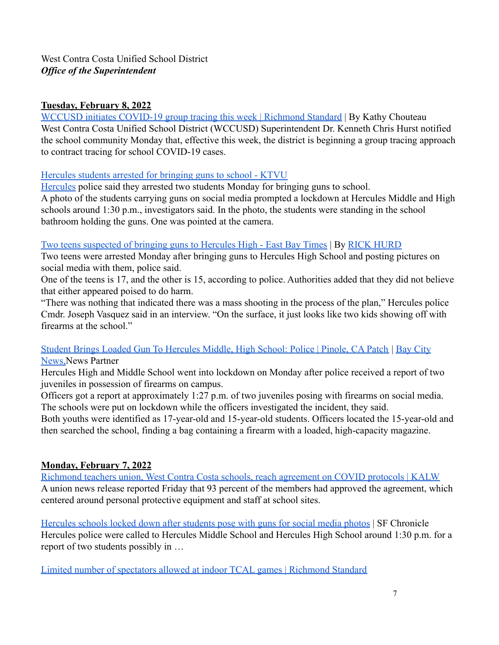# **Tuesday, February 8, 2022**

[WCCUSD initiates COVID-19 group tracing this week | Richmond Standard](https://richmondstandard.com/community/education/2022/02/08/wccusd-initiates-covid-19-group-tracing-this-week/) | By Kathy Chouteau West Contra Costa Unified School District (WCCUSD) Superintendent Dr. Kenneth Chris Hurst notified the school community Monday that, effective this week, the district is beginning a group tracing approach to contract tracing for school COVID-19 cases.

## [Hercules students arrested for bringing guns to school - KTVU](https://www.ktvu.com/news/hercules-students-arrested-for-bringing-guns-to-school)

[Hercules](https://www.ktvu.com/tag/us/ca/contra-costa-county/hercules) police said they arrested two students Monday for bringing guns to school. A photo of the students carrying guns on social media prompted a lockdown at Hercules Middle and High schools around 1:30 p.m., investigators said. In the photo, the students were standing in the school bathroom holding the guns. One was pointed at the camera.

## [Two teens suspected of bringing guns to Hercules High - East Bay Times](https://www.eastbaytimes.com/2022/02/08/two-teens-suspected-of-bringing-guns-to-hercules-high/) | By [RICK HURD](https://www.eastbaytimes.com/author/rick-hurd/)

Two teens were arrested Monday after bringing guns to Hercules High School and posting pictures on social media with them, police said.

One of the teens is 17, and the other is 15, according to police. Authorities added that they did not believe that either appeared poised to do harm.

"There was nothing that indicated there was a mass shooting in the process of the plan," Hercules police Cmdr. Joseph Vasquez said in an interview. "On the surface, it just looks like two kids showing off with firearms at the school."

[Student Brings Loaded Gun To Hercules Middle, High School: Police | Pinole, CA Patch](https://patch.com/california/pinole-hercules/student-brings-loaded-gun-hercules-middle-high-school-police) | [Bay City](https://patch.com/users/bay-city-news-2) [News,N](https://patch.com/users/bay-city-news-2)ews Partner

Hercules High and Middle School went into lockdown on Monday after police received a report of two juveniles in possession of firearms on campus.

Officers got a report at approximately 1:27 p.m. of two juveniles posing with firearms on social media. The schools were put on lockdown while the officers investigated the incident, they said.

Both youths were identified as 17-year-old and 15-year-old students. Officers located the 15-year-old and then searched the school, finding a bag containing a firearm with a loaded, high-capacity magazine.

# **Monday, February 7, 2022**

[Richmond teachers union, West Contra Costa schools, reach agreement on COVID protocols | KALW](https://www.kalw.org/kalw-news/2022-02-07/richmond-teachers-union-west-contra-costa-schools-reach-agreement-on-covid-protocols) A union news release reported Friday that 93 percent of the members had approved the agreement, which centered around personal protective equipment and staff at school sites.

[Hercules schools locked down after students pose with guns for social media photos](https://www.sfchronicle.com/bayarea/article/Hercules-schools-locked-down-after-students-pose-16840020.php) | SF Chronicle Hercules police were called to Hercules Middle School and Hercules High School around 1:30 p.m. for a report of two students possibly in …

[Limited number of spectators allowed at indoor TCAL games | Richmond Standard](https://richmondstandard.com/sports/2022/02/07/limited-number-of-spectators-allowed-at-tcal-games/)